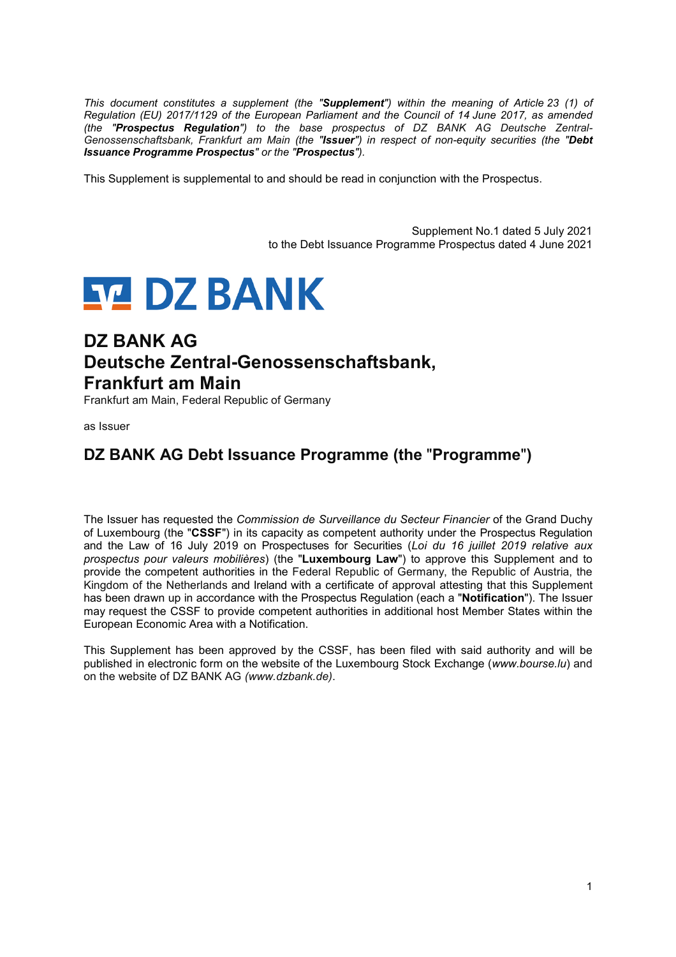*This document constitutes a supplement (the "Supplement") within the meaning of Article 23 (1) of Regulation (EU) 2017/1129 of the European Parliament and the Council of 14 June 2017, as amended (the "Prospectus Regulation") to the base prospectus of DZ BANK AG Deutsche Zentral-Genossenschaftsbank, Frankfurt am Main (the "Issuer") in respect of non-equity securities (the "Debt Issuance Programme Prospectus" or the "Prospectus").* 

This Supplement is supplemental to and should be read in conjunction with the Prospectus.

Supplement No.1 dated 5 July 2021 to the Debt Issuance Programme Prospectus dated 4 June 2021



# **DZ BANK AG Deutsche Zentral-Genossenschaftsbank, Frankfurt am Main**

Frankfurt am Main, Federal Republic of Germany

as Issuer

## **DZ BANK AG Debt Issuance Programme (the** "**Programme**"**)**

The Issuer has requested the *Commission de Surveillance du Secteur Financier* of the Grand Duchy of Luxembourg (the "**CSSF**") in its capacity as competent authority under the Prospectus Regulation and the Law of 16 July 2019 on Prospectuses for Securities (*Loi du 16 juillet 2019 relative aux prospectus pour valeurs mobilières*) (the "**Luxembourg Law**") to approve this Supplement and to provide the competent authorities in the Federal Republic of Germany, the Republic of Austria, the Kingdom of the Netherlands and Ireland with a certificate of approval attesting that this Supplement has been drawn up in accordance with the Prospectus Regulation (each a "**Notification**"). The Issuer may request the CSSF to provide competent authorities in additional host Member States within the European Economic Area with a Notification.

This Supplement has been approved by the CSSF, has been filed with said authority and will be published in electronic form on the website of the Luxembourg Stock Exchange (*www.bourse.lu*) and on the website of DZ BANK AG *(www.dzbank.de)*.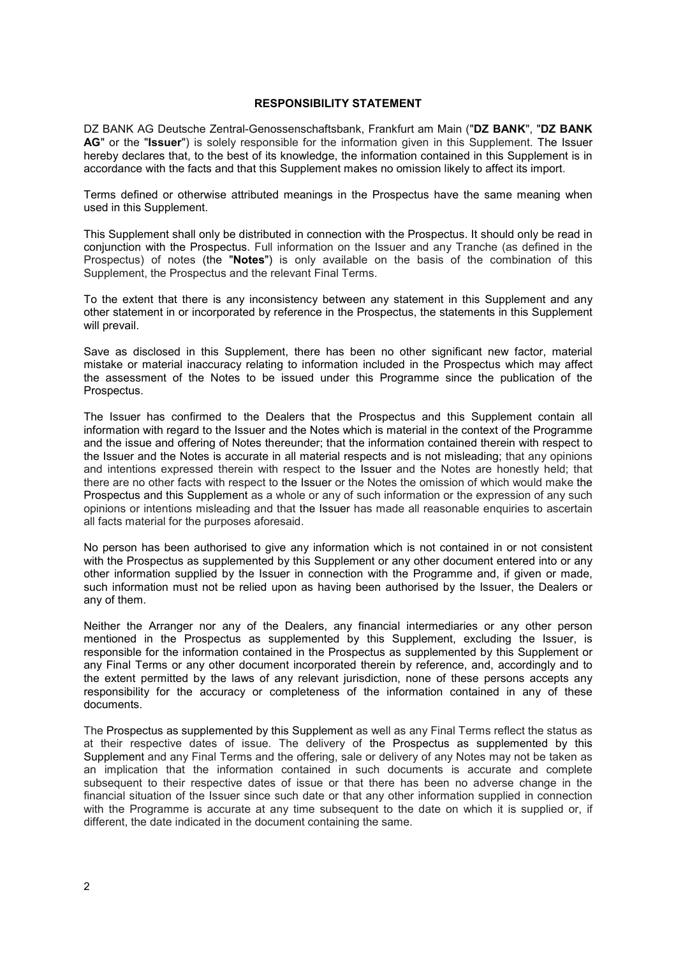#### **RESPONSIBILITY STATEMENT**

DZ BANK AG Deutsche Zentral-Genossenschaftsbank, Frankfurt am Main ("**DZ BANK**", "**DZ BANK AG**" or the "**Issuer**") is solely responsible for the information given in this Supplement. The Issuer hereby declares that, to the best of its knowledge, the information contained in this Supplement is in accordance with the facts and that this Supplement makes no omission likely to affect its import.

Terms defined or otherwise attributed meanings in the Prospectus have the same meaning when used in this Supplement.

This Supplement shall only be distributed in connection with the Prospectus. It should only be read in conjunction with the Prospectus. Full information on the Issuer and any Tranche (as defined in the Prospectus) of notes (the "**Notes**") is only available on the basis of the combination of this Supplement, the Prospectus and the relevant Final Terms.

To the extent that there is any inconsistency between any statement in this Supplement and any other statement in or incorporated by reference in the Prospectus, the statements in this Supplement will prevail.

Save as disclosed in this Supplement, there has been no other significant new factor, material mistake or material inaccuracy relating to information included in the Prospectus which may affect the assessment of the Notes to be issued under this Programme since the publication of the Prospectus.

The Issuer has confirmed to the Dealers that the Prospectus and this Supplement contain all information with regard to the Issuer and the Notes which is material in the context of the Programme and the issue and offering of Notes thereunder; that the information contained therein with respect to the Issuer and the Notes is accurate in all material respects and is not misleading; that any opinions and intentions expressed therein with respect to the Issuer and the Notes are honestly held; that there are no other facts with respect to the Issuer or the Notes the omission of which would make the Prospectus and this Supplement as a whole or any of such information or the expression of any such opinions or intentions misleading and that the Issuer has made all reasonable enquiries to ascertain all facts material for the purposes aforesaid.

No person has been authorised to give any information which is not contained in or not consistent with the Prospectus as supplemented by this Supplement or any other document entered into or any other information supplied by the Issuer in connection with the Programme and, if given or made, such information must not be relied upon as having been authorised by the Issuer, the Dealers or any of them.

Neither the Arranger nor any of the Dealers, any financial intermediaries or any other person mentioned in the Prospectus as supplemented by this Supplement, excluding the Issuer, is responsible for the information contained in the Prospectus as supplemented by this Supplement or any Final Terms or any other document incorporated therein by reference, and, accordingly and to the extent permitted by the laws of any relevant jurisdiction, none of these persons accepts any responsibility for the accuracy or completeness of the information contained in any of these documents.

The Prospectus as supplemented by this Supplement as well as any Final Terms reflect the status as at their respective dates of issue. The delivery of the Prospectus as supplemented by this Supplement and any Final Terms and the offering, sale or delivery of any Notes may not be taken as an implication that the information contained in such documents is accurate and complete subsequent to their respective dates of issue or that there has been no adverse change in the financial situation of the Issuer since such date or that any other information supplied in connection with the Programme is accurate at any time subsequent to the date on which it is supplied or, if different, the date indicated in the document containing the same.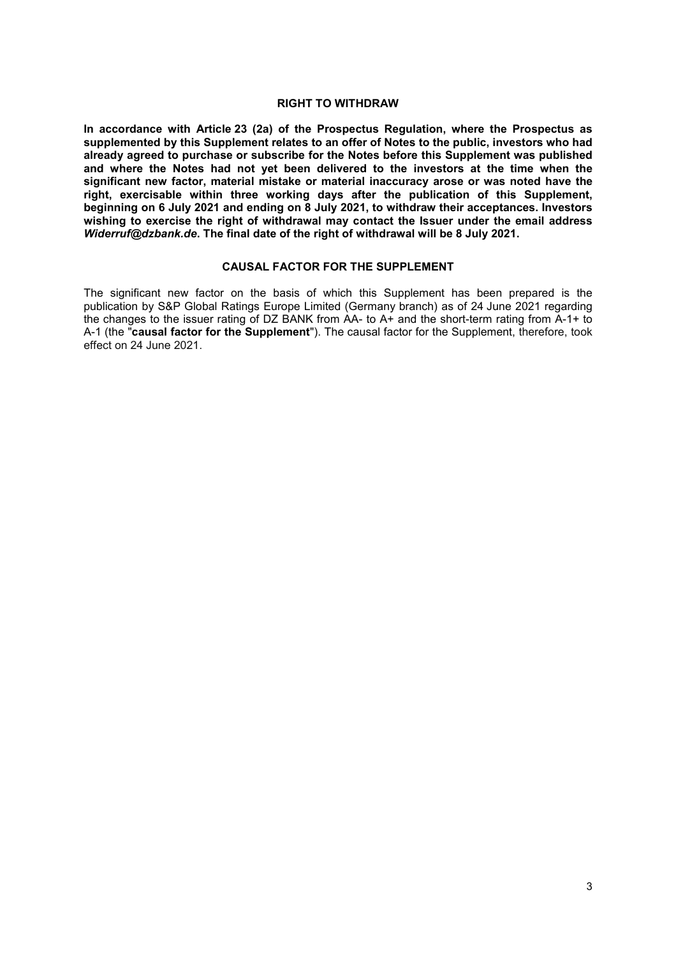#### **RIGHT TO WITHDRAW**

**In accordance with Article 23 (2a) of the Prospectus Regulation, where the Prospectus as supplemented by this Supplement relates to an offer of Notes to the public, investors who had already agreed to purchase or subscribe for the Notes before this Supplement was published and where the Notes had not yet been delivered to the investors at the time when the significant new factor, material mistake or material inaccuracy arose or was noted have the right, exercisable within three working days after the publication of this Supplement, beginning on 6 July 2021 and ending on 8 July 2021, to withdraw their acceptances. Investors wishing to exercise the right of withdrawal may contact the Issuer under the email address**  *Widerruf@dzbank.de***. The final date of the right of withdrawal will be 8 July 2021.** 

#### **CAUSAL FACTOR FOR THE SUPPLEMENT**

The significant new factor on the basis of which this Supplement has been prepared is the publication by S&P Global Ratings Europe Limited (Germany branch) as of 24 June 2021 regarding the changes to the issuer rating of DZ BANK from AA- to A+ and the short-term rating from A-1+ to A-1 (the "**causal factor for the Supplement**"). The causal factor for the Supplement, therefore, took effect on 24 June 2021.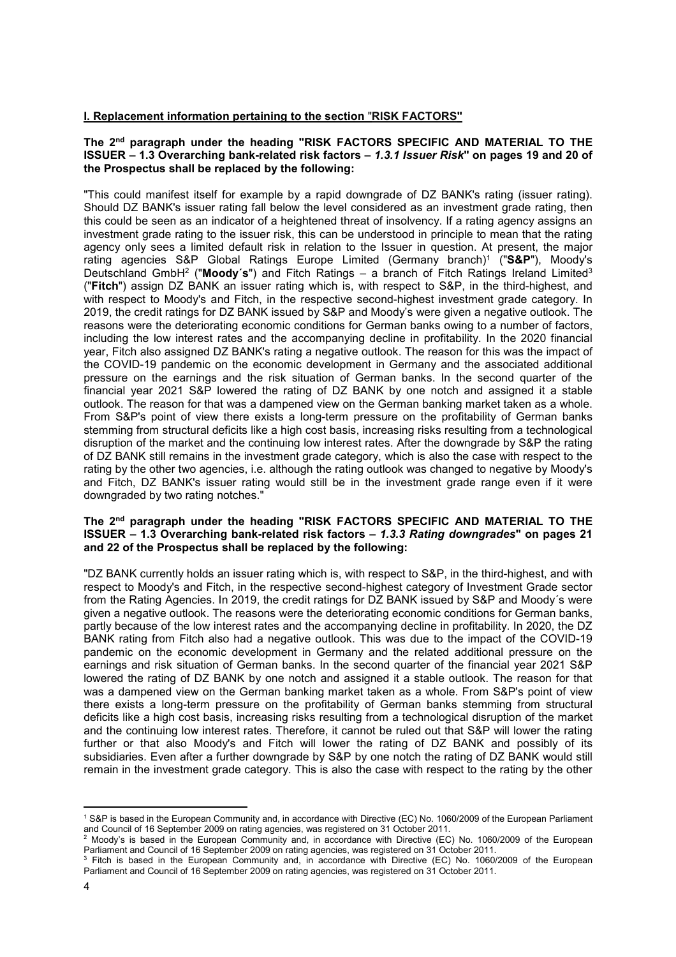#### **I. Replacement information pertaining to the section** "**RISK FACTORS"**

#### **The 2nd paragraph under the heading "RISK FACTORS SPECIFIC AND MATERIAL TO THE ISSUER – 1.3 Overarching bank-related risk factors –** *1.3.1 Issuer Risk***" on pages 19 and 20 of the Prospectus shall be replaced by the following:**

"This could manifest itself for example by a rapid downgrade of DZ BANK's rating (issuer rating). Should DZ BANK's issuer rating fall below the level considered as an investment grade rating, then this could be seen as an indicator of a heightened threat of insolvency. If a rating agency assigns an investment grade rating to the issuer risk, this can be understood in principle to mean that the rating agency only sees a limited default risk in relation to the Issuer in question. At present, the major rating agencies S&P Global Ratings Europe Limited (Germany branch)1 ("**S&P**"), Moody's Deutschland GmbH2 ("**Moody´s**") and Fitch Ratings – a branch of Fitch Ratings Ireland Limited3 ("**Fitch**") assign DZ BANK an issuer rating which is, with respect to S&P, in the third-highest, and with respect to Moody's and Fitch, in the respective second-highest investment grade category. In 2019, the credit ratings for DZ BANK issued by S&P and Moody's were given a negative outlook. The reasons were the deteriorating economic conditions for German banks owing to a number of factors, including the low interest rates and the accompanying decline in profitability. In the 2020 financial year, Fitch also assigned DZ BANK's rating a negative outlook. The reason for this was the impact of the COVID-19 pandemic on the economic development in Germany and the associated additional pressure on the earnings and the risk situation of German banks. In the second quarter of the financial year 2021 S&P lowered the rating of DZ BANK by one notch and assigned it a stable outlook. The reason for that was a dampened view on the German banking market taken as a whole. From S&P's point of view there exists a long-term pressure on the profitability of German banks stemming from structural deficits like a high cost basis, increasing risks resulting from a technological disruption of the market and the continuing low interest rates. After the downgrade by S&P the rating of DZ BANK still remains in the investment grade category, which is also the case with respect to the rating by the other two agencies, i.e. although the rating outlook was changed to negative by Moody's and Fitch, DZ BANK's issuer rating would still be in the investment grade range even if it were downgraded by two rating notches."

#### **The 2nd paragraph under the heading "RISK FACTORS SPECIFIC AND MATERIAL TO THE ISSUER – 1.3 Overarching bank-related risk factors –** *1.3.3 Rating downgrades***" on pages 21 and 22 of the Prospectus shall be replaced by the following:**

"DZ BANK currently holds an issuer rating which is, with respect to S&P, in the third-highest, and with respect to Moody's and Fitch, in the respective second-highest category of Investment Grade sector from the Rating Agencies. In 2019, the credit ratings for DZ BANK issued by S&P and Moody´s were given a negative outlook. The reasons were the deteriorating economic conditions for German banks, partly because of the low interest rates and the accompanying decline in profitability. In 2020, the DZ BANK rating from Fitch also had a negative outlook. This was due to the impact of the COVID-19 pandemic on the economic development in Germany and the related additional pressure on the earnings and risk situation of German banks. In the second quarter of the financial year 2021 S&P lowered the rating of DZ BANK by one notch and assigned it a stable outlook. The reason for that was a dampened view on the German banking market taken as a whole. From S&P's point of view there exists a long-term pressure on the profitability of German banks stemming from structural deficits like a high cost basis, increasing risks resulting from a technological disruption of the market and the continuing low interest rates. Therefore, it cannot be ruled out that S&P will lower the rating further or that also Moody's and Fitch will lower the rating of DZ BANK and possibly of its subsidiaries. Even after a further downgrade by S&P by one notch the rating of DZ BANK would still remain in the investment grade category. This is also the case with respect to the rating by the other

 $\overline{a}$ 

<sup>1</sup> S&P is based in the European Community and, in accordance with Directive (EC) No. 1060/2009 of the European Parliament and Council of 16 September 2009 on rating agencies, was registered on 31 October 2011. 2

<sup>&</sup>lt;sup>2</sup> Moody's is based in the European Community and, in accordance with Directive (EC) No. 1060/2009 of the European Parliament and Council of 16 September 2009 on rating agencies, was registered on 31 October 2011.

<sup>&</sup>lt;sup>3</sup> Fitch is based in the European Community and, in accordance with Directive (EC) No. 1060/2009 of the European Parliament and Council of 16 September 2009 on rating agencies, was registered on 31 October 2011.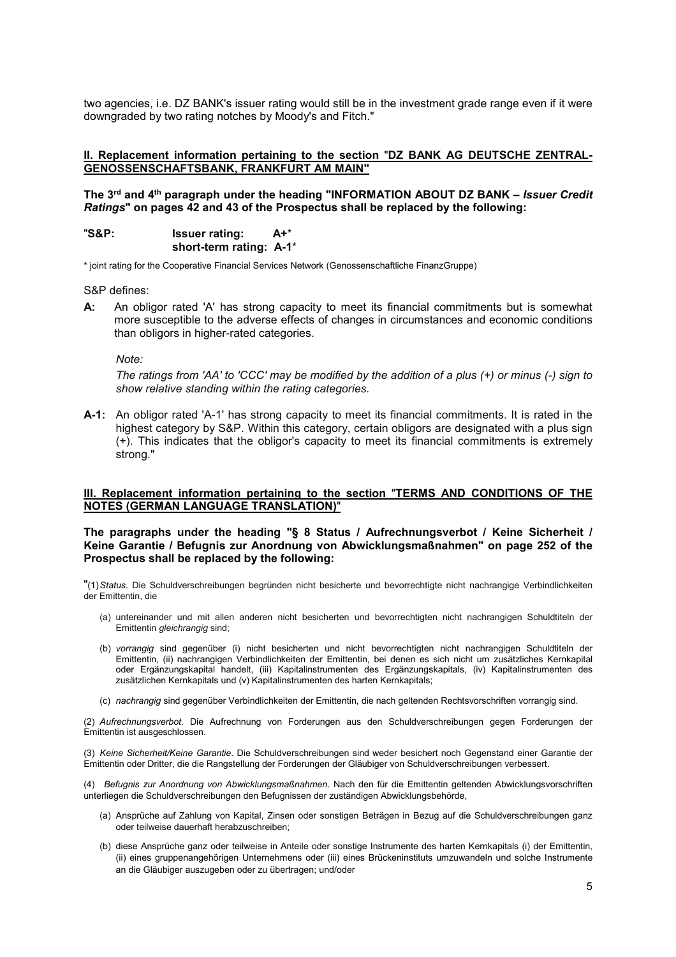two agencies, i.e. DZ BANK's issuer rating would still be in the investment grade range even if it were downgraded by two rating notches by Moody's and Fitch."

#### **II. Replacement information pertaining to the section** "**DZ BANK AG DEUTSCHE ZENTRAL-GENOSSENSCHAFTSBANK, FRANKFURT AM MAIN"**

**The 3rd and 4th paragraph under the heading "INFORMATION ABOUT DZ BANK –** *Issuer Credit Ratings***" on pages 42 and 43 of the Prospectus shall be replaced by the following:** 

"**S&P: Issuer rating: A+**\*  **short-term rating: A-1**\*

\* joint rating for the Cooperative Financial Services Network (Genossenschaftliche FinanzGruppe)

S&P defines:

**A:** An obligor rated 'A' has strong capacity to meet its financial commitments but is somewhat more susceptible to the adverse effects of changes in circumstances and economic conditions than obligors in higher-rated categories.

*Note:* 

*The ratings from 'AA' to 'CCC' may be modified by the addition of a plus (+) or minus (-) sign to show relative standing within the rating categories.*

**A-1:** An obligor rated 'A-1' has strong capacity to meet its financial commitments. It is rated in the highest category by S&P. Within this category, certain obligors are designated with a plus sign (+). This indicates that the obligor's capacity to meet its financial commitments is extremely strong."

#### **III. Replacement information pertaining to the section** "**TERMS AND CONDITIONS OF THE NOTES (GERMAN LANGUAGE TRANSLATION)**"

**The paragraphs under the heading "§ 8 Status / Aufrechnungsverbot / Keine Sicherheit / Keine Garantie / Befugnis zur Anordnung von Abwicklungsmaßnahmen" on page 252 of the Prospectus shall be replaced by the following:** 

"(1) *Status*. Die Schuldverschreibungen begründen nicht besicherte und bevorrechtigte nicht nachrangige Verbindlichkeiten der Emittentin, die

- (a) untereinander und mit allen anderen nicht besicherten und bevorrechtigten nicht nachrangigen Schuldtiteln der Emittentin *gleichrangig* sind;
- (b) *vorrangig* sind gegenüber (i) nicht besicherten und nicht bevorrechtigten nicht nachrangigen Schuldtiteln der Emittentin, (ii) nachrangigen Verbindlichkeiten der Emittentin, bei denen es sich nicht um zusätzliches Kernkapital oder Ergänzungskapital handelt, (iii) Kapitalinstrumenten des Ergänzungskapitals, (iv) Kapitalinstrumenten des zusätzlichen Kernkapitals und (v) Kapitalinstrumenten des harten Kernkapitals;
- (c) *nachrangig* sind gegenüber Verbindlichkeiten der Emittentin, die nach geltenden Rechtsvorschriften vorrangig sind.

(2) *Aufrechnungsverbot*. Die Aufrechnung von Forderungen aus den Schuldverschreibungen gegen Forderungen der Emittentin ist ausgeschlossen.

(3) *Keine Sicherheit/Keine Garantie*. Die Schuldverschreibungen sind weder besichert noch Gegenstand einer Garantie der Emittentin oder Dritter, die die Rangstellung der Forderungen der Gläubiger von Schuldverschreibungen verbessert.

(4) *Befugnis zur Anordnung von Abwicklungsmaßnahmen*. Nach den für die Emittentin geltenden Abwicklungsvorschriften unterliegen die Schuldverschreibungen den Befugnissen der zuständigen Abwicklungsbehörde,

- (a) Ansprüche auf Zahlung von Kapital, Zinsen oder sonstigen Beträgen in Bezug auf die Schuldverschreibungen ganz oder teilweise dauerhaft herabzuschreiben;
- (b) diese Ansprüche ganz oder teilweise in Anteile oder sonstige Instrumente des harten Kernkapitals (i) der Emittentin, (ii) eines gruppenangehörigen Unternehmens oder (iii) eines Brückeninstituts umzuwandeln und solche Instrumente an die Gläubiger auszugeben oder zu übertragen; und/oder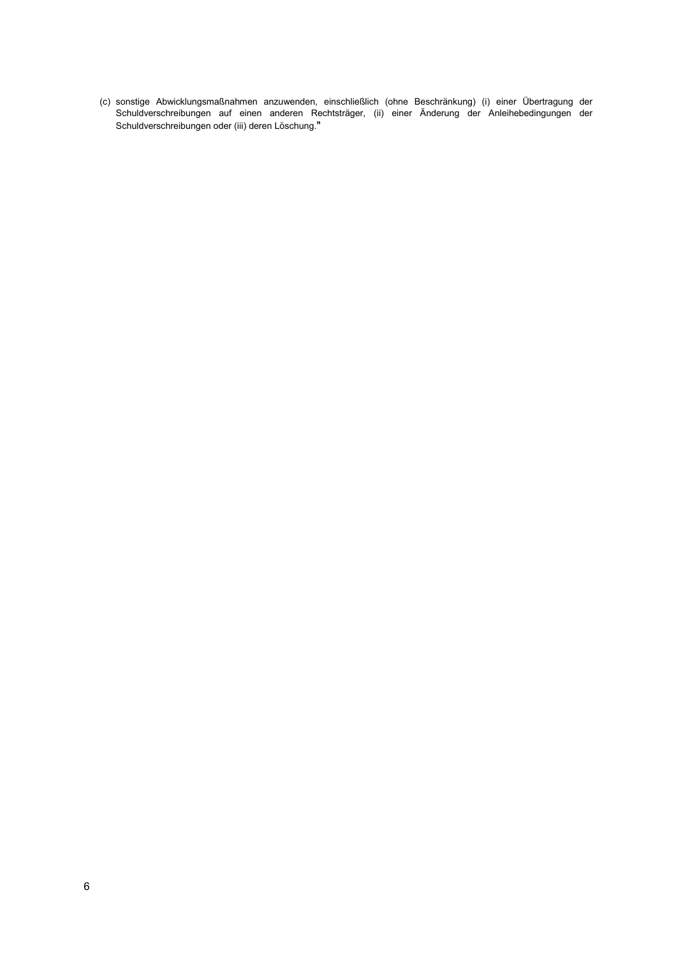(c) sonstige Abwicklungsmaßnahmen anzuwenden, einschließlich (ohne Beschränkung) (i) einer Übertragung der Schuldverschreibungen auf einen anderen Rechtsträger, (ii) einer Änderung der Anleihebedingungen der Schuldverschreibungen oder (iii) deren Löschung."